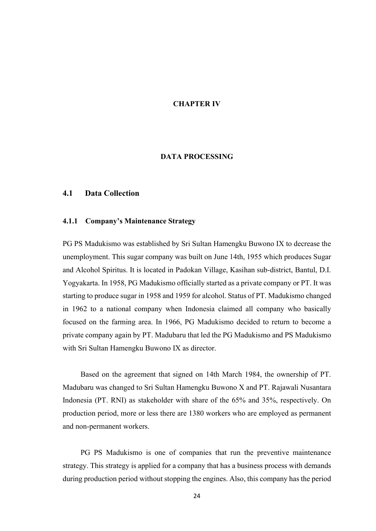# CHAPTER IV

## DATA PROCESSING

## 4.1 Data Collection

### 4.1.1 Company's Maintenance Strategy

PG PS Madukismo was established by Sri Sultan Hamengku Buwono IX to decrease the unemployment. This sugar company was built on June 14th, 1955 which produces Sugar and Alcohol Spiritus. It is located in Padokan Village, Kasihan sub-district, Bantul, D.I. Yogyakarta. In 1958, PG Madukismo officially started as a private company or PT. It was starting to produce sugar in 1958 and 1959 for alcohol. Status of PT. Madukismo changed in 1962 to a national company when Indonesia claimed all company who basically focused on the farming area. In 1966, PG Madukismo decided to return to become a private company again by PT. Madubaru that led the PG Madukismo and PS Madukismo with Sri Sultan Hamengku Buwono IX as director.

Based on the agreement that signed on 14th March 1984, the ownership of PT. Madubaru was changed to Sri Sultan Hamengku Buwono X and PT. Rajawali Nusantara Indonesia (PT. RNI) as stakeholder with share of the 65% and 35%, respectively. On production period, more or less there are 1380 workers who are employed as permanent and non-permanent workers.

PG PS Madukismo is one of companies that run the preventive maintenance strategy. This strategy is applied for a company that has a business process with demands during production period without stopping the engines. Also, this company has the period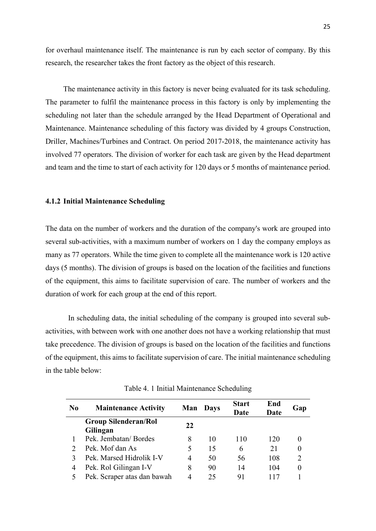for overhaul maintenance itself. The maintenance is run by each sector of company. By this research, the researcher takes the front factory as the object of this research.

The maintenance activity in this factory is never being evaluated for its task scheduling. The parameter to fulfil the maintenance process in this factory is only by implementing the scheduling not later than the schedule arranged by the Head Department of Operational and Maintenance. Maintenance scheduling of this factory was divided by 4 groups Construction, Driller, Machines/Turbines and Contract. On period 2017-2018, the maintenance activity has involved 77 operators. The division of worker for each task are given by the Head department and team and the time to start of each activity for 120 days or 5 months of maintenance period.

### 4.1.2 Initial Maintenance Scheduling

The data on the number of workers and the duration of the company's work are grouped into several sub-activities, with a maximum number of workers on 1 day the company employs as many as 77 operators. While the time given to complete all the maintenance work is 120 active days (5 months). The division of groups is based on the location of the facilities and functions of the equipment, this aims to facilitate supervision of care. The number of workers and the duration of work for each group at the end of this report.

In scheduling data, the initial scheduling of the company is grouped into several subactivities, with between work with one another does not have a working relationship that must take precedence. The division of groups is based on the location of the facilities and functions of the equipment, this aims to facilitate supervision of care. The initial maintenance scheduling in the table below:

| N <sub>0</sub> | <b>Maintenance Activity</b> | Man            | <b>Days</b> | <b>Start</b> | End  |     |
|----------------|-----------------------------|----------------|-------------|--------------|------|-----|
|                |                             |                |             | Date         | Date | Gap |
|                | <b>Group Silenderan/Rol</b> | 22             |             |              |      |     |
|                | Gilingan                    |                |             |              |      |     |
|                | Pek. Jembatan/Bordes        | 8              | 10          | 110          | 120  |     |
|                | Pek. Mof dan As             | 5              | 15          | 6            | 21   |     |
|                | Pek. Marsed Hidrolik I-V    | $\overline{4}$ | 50          | 56           | 108  | 2   |
| 4              | Pek. Rol Gilingan I-V       | 8              | 90          | 14           | 104  |     |
|                | Pek. Scraper atas dan bawah | 4              | 25          | 91           |      |     |

Table 4. 1 Initial Maintenance Scheduling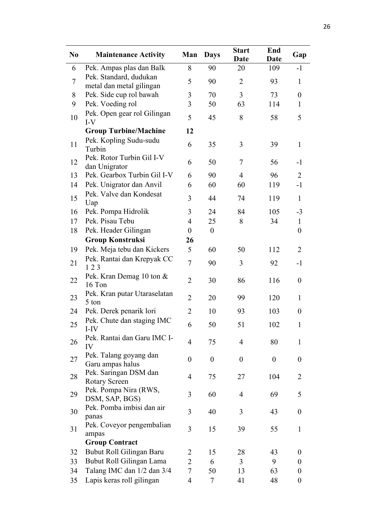| N <sub>0</sub> | <b>Maintenance Activity</b>                        | Man              | <b>Days</b>      | <b>Start</b><br><b>Date</b> | End<br><b>Date</b> | Gap              |
|----------------|----------------------------------------------------|------------------|------------------|-----------------------------|--------------------|------------------|
| 6              | Pek. Ampas plas dan Balk                           | 8                | 90               | 20                          | 109                | $-1$             |
| $\overline{7}$ | Pek. Standard, dudukan<br>metal dan metal gilingan | 5                | 90               | $\overline{2}$              | 93                 | $\mathbf{1}$     |
| 8              | Pek. Side cup rol bawah                            | 3                | 70               | $\overline{3}$              | 73                 | $\boldsymbol{0}$ |
| 9              | Pek. Voeding rol                                   | 3                | 50               | 63                          | 114                | $\mathbf{1}$     |
| 10             | Pek. Open gear rol Gilingan<br>$I-V$               | 5                | 45               | 8                           | 58                 | 5                |
|                | <b>Group Turbine/Machine</b>                       | 12               |                  |                             |                    |                  |
| 11             | Pek. Kopling Sudu-sudu<br>Turbin                   | 6                | 35               | 3                           | 39                 | $\mathbf{1}$     |
| 12             | Pek. Rotor Turbin Gil I-V<br>dan Unigrator         | 6                | 50               | 7                           | 56                 | $-1$             |
| 13             | Pek. Gearbox Turbin Gil I-V                        | 6                | 90               | $\overline{4}$              | 96                 | $\overline{2}$   |
| 14             | Pek. Unigrator dan Anvil                           | 6                | 60               | 60                          | 119                | $-1$             |
| 15             | Pek. Valve dan Kondesat<br>Uap                     | 3                | 44               | 74                          | 119                | $\mathbf{1}$     |
| 16             | Pek. Pompa Hidrolik                                | 3                | 24               | 84                          | 105                | $-3$             |
| 17             | Pek. Pisau Tebu                                    | 4                | 25               | 8                           | 34                 | $\mathbf{1}$     |
| 18             | Pek. Header Gilingan                               | $\boldsymbol{0}$ | $\boldsymbol{0}$ |                             |                    | $\boldsymbol{0}$ |
|                | <b>Group Konstruksi</b>                            | 26               |                  |                             |                    |                  |
| 19             | Pek. Meja tebu dan Kickers                         | 5                | 60               | 50                          | 112                | $\overline{2}$   |
| 21             | Pek. Rantai dan Krepyak CC<br>123                  | $\overline{7}$   | 90               | 3                           | 92                 | $-1$             |
| 22             | Pek. Kran Demag 10 ton &<br>16 Ton                 | $\overline{2}$   | 30               | 86                          | 116                | $\boldsymbol{0}$ |
| 23             | Pek. Kran putar Utaraselatan<br>5 ton              | $\overline{2}$   | 20               | 99                          | 120                | $\mathbf{1}$     |
| 24             | Pek. Derek penarik lori                            | $\overline{2}$   | 10               | 93                          | 103                | $\theta$         |
| 25             | Pek. Chute dan staging IMC<br>I-IV                 | 6                | 50               | 51                          | 102                | $\mathbf{1}$     |
| 26             | Pek. Rantai dan Garu IMC I-<br>IV                  | $\overline{4}$   | 75               | 4                           | 80                 | 1                |
| 27             | Pek. Talang goyang dan<br>Garu ampas halus         | $\boldsymbol{0}$ | $\boldsymbol{0}$ | $\boldsymbol{0}$            | $\boldsymbol{0}$   | $\boldsymbol{0}$ |
| 28             | Pek. Saringan DSM dan<br>Rotary Screen             | $\overline{4}$   | 75               | 27                          | 104                | $\overline{2}$   |
| 29             | Pek. Pompa Nira (RWS,<br>DSM, SAP, BGS)            | 3                | 60               | $\overline{4}$              | 69                 | 5                |
| 30             | Pek. Pomba imbisi dan air<br>panas                 | 3                | 40               | 3                           | 43                 | $\boldsymbol{0}$ |
| 31             | Pek. Coveyor pengembalian<br>ampas                 | 3                | 15               | 39                          | 55                 | $\mathbf{1}$     |
|                | <b>Group Contract</b>                              |                  |                  |                             |                    |                  |
| 32             | Bubut Roll Gilingan Baru                           | $\overline{2}$   | 15               | 28                          | 43                 | $\overline{0}$   |
| 33             | Bubut Roll Gilingan Lama                           | $\overline{2}$   | 6                | $\overline{3}$              | 9                  | $\boldsymbol{0}$ |
| 34             | Talang IMC dan 1/2 dan 3/4                         | 7                | 50               | 13                          | 63                 | $\boldsymbol{0}$ |
| 35             | Lapis keras roll gilingan                          | 4                | $\tau$           | 41                          | 48                 | $\boldsymbol{0}$ |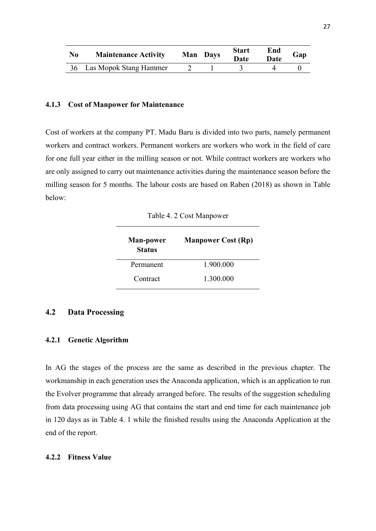| N <sub>0</sub> | <b>Maintenance Activity</b> | Man Days | <b>Start</b><br>Date | End<br><b>Date</b> | Gap |
|----------------|-----------------------------|----------|----------------------|--------------------|-----|
|                | 36 Las Mopok Stang Hammer   |          |                      |                    |     |

### 4.1.3 Cost of Manpower for Maintenance

Cost of workers at the company PT. Madu Baru is divided into two parts, namely permanent workers and contract workers. Permanent workers are workers who work in the field of care for one full year either in the milling season or not. While contract workers are workers who are only assigned to carry out maintenance activities during the maintenance season before the milling season for 5 months. The labour costs are based on Raben (2018) as shown in Table below:

Table 4. 2 Cost Manpower

| <b>Man-power</b><br><b>Status</b> | <b>Manpower Cost (Rp)</b> |
|-----------------------------------|---------------------------|
| Permanent                         | 1.900.000                 |
| Contract                          | 1.300.000                 |

# 4.2 Data Processing

#### 4.2.1 Genetic Algorithm

In AG the stages of the process are the same as described in the previous chapter. The workmanship in each generation uses the Anaconda application, which is an application to run the Evolver programme that already arranged before. The results of the suggestion scheduling from data processing using AG that contains the start and end time for each maintenance job in 120 days as in Table 4. 1 while the finished results using the Anaconda Application at the end of the report.

### 4.2.2 Fitness Value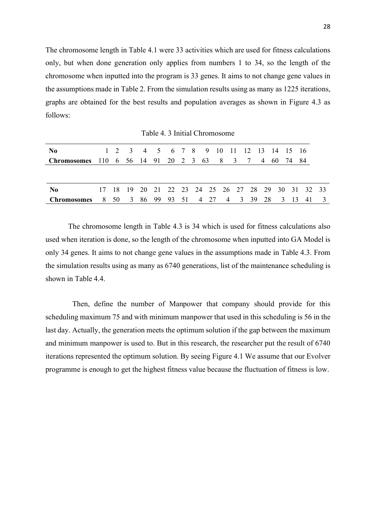The chromosome length in Table 4.1 were 33 activities which are used for fitness calculations only, but when done generation only applies from numbers 1 to 34, so the length of the chromosome when inputted into the program is 33 genes. It aims to not change gene values in the assumptions made in Table 2. From the simulation results using as many as 1225 iterations, graphs are obtained for the best results and population averages as shown in Figure 4.3 as follows:

Table 4. 3 Initial Chromosome

| N <sub>0</sub>                                                 |  |  |  |  | 1 2 3 4 5 6 7 8 9 10 11 12 13 14 15 16             |  |  |  |  |  |
|----------------------------------------------------------------|--|--|--|--|----------------------------------------------------|--|--|--|--|--|
| <b>Chromosomes</b> 110 6 56 14 91 20 2 3 63 8 3 7 4 60 74 84   |  |  |  |  |                                                    |  |  |  |  |  |
|                                                                |  |  |  |  |                                                    |  |  |  |  |  |
|                                                                |  |  |  |  |                                                    |  |  |  |  |  |
| No No                                                          |  |  |  |  | 17 18 19 20 21 22 23 24 25 26 27 28 29 30 31 32 33 |  |  |  |  |  |
| <b>Chromosomes</b> 8 50 3 86 99 93 51 4 27 4 3 39 28 3 13 41 3 |  |  |  |  |                                                    |  |  |  |  |  |

The chromosome length in Table 4.3 is 34 which is used for fitness calculations also used when iteration is done, so the length of the chromosome when inputted into GA Model is only 34 genes. It aims to not change gene values in the assumptions made in Table 4.3. From the simulation results using as many as 6740 generations, list of the maintenance scheduling is shown in Table 4.4.

Then, define the number of Manpower that company should provide for this scheduling maximum 75 and with minimum manpower that used in this scheduling is 56 in the last day. Actually, the generation meets the optimum solution if the gap between the maximum and minimum manpower is used to. But in this research, the researcher put the result of 6740 iterations represented the optimum solution. By seeing Figure 4.1 We assume that our Evolver programme is enough to get the highest fitness value because the fluctuation of fitness is low.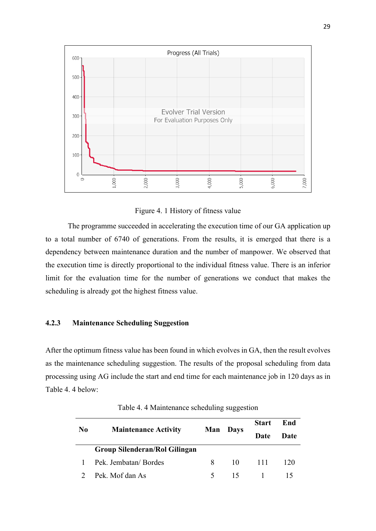

Figure 4. 1 History of fitness value

The programme succeeded in accelerating the execution time of our GA application up to a total number of 6740 of generations. From the results, it is emerged that there is a dependency between maintenance duration and the number of manpower. We observed that the execution time is directly proportional to the individual fitness value. There is an inferior limit for the evaluation time for the number of generations we conduct that makes the scheduling is already got the highest fitness value.

# 4.2.3 Maintenance Scheduling Suggestion

After the optimum fitness value has been found in which evolves in GA, then the result evolves as the maintenance scheduling suggestion. The results of the proposal scheduling from data processing using AG include the start and end time for each maintenance job in 120 days as in Table 4. 4 below:

| N <sub>0</sub> | <b>Maintenance Activity</b>          | Man           | <b>Days</b> | <b>Start</b><br>Date | End<br>Date |
|----------------|--------------------------------------|---------------|-------------|----------------------|-------------|
|                | <b>Group Silenderan/Rol Gilingan</b> |               |             |                      |             |
|                | 1 Pek. Jembatan/Bordes               | 8             | 10          | -111                 | 120         |
|                | 2 Pek. Mof dan As                    | $\mathcal{F}$ | 15.         |                      |             |

Table 4. 4 Maintenance scheduling suggestion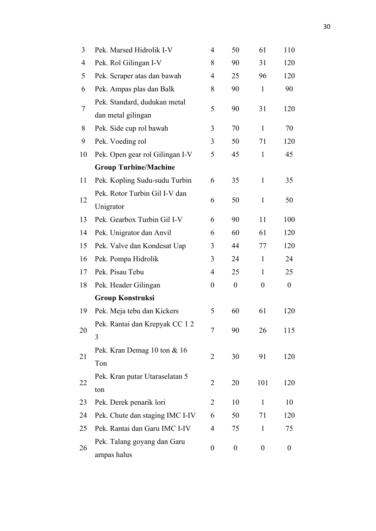| 3              | Pek. Marsed Hidrolik I-V                           |                  | 50               | 61               | 110              |
|----------------|----------------------------------------------------|------------------|------------------|------------------|------------------|
| 4              | Pek. Rol Gilingan I-V                              | 8                | 90               | 31               | 120              |
| 5              | Pek. Scraper atas dan bawah                        | $\overline{4}$   | 25               | 96               | 120              |
| 6              | Pek. Ampas plas dan Balk                           | 8                | 90               | $\mathbf{1}$     | 90               |
| $\overline{7}$ | Pek. Standard, dudukan metal<br>dan metal gilingan | 5                | 90               | 31               | 120              |
| 8              | Pek. Side cup rol bawah                            | 3                | 70               | $\mathbf{1}$     | 70               |
| 9              | Pek. Voeding rol                                   | 3                | 50               | 71               | 120              |
| 10             | Pek. Open gear rol Gilingan I-V                    | 5                | 45               | $\mathbf{1}$     | 45               |
|                | <b>Group Turbine/Machine</b>                       |                  |                  |                  |                  |
| 11             | Pek. Kopling Sudu-sudu Turbin                      | 6                | 35               | $\mathbf{1}$     | 35               |
| 12             | Pek. Rotor Turbin Gil I-V dan<br>Unigrator         | 6                | 50               | 1                | 50               |
| 13             | Pek. Gearbox Turbin Gil I-V                        | 6                | 90               | 11               | 100              |
| 14             | Pek. Unigrator dan Anvil                           | 6                | 60               | 61               | 120              |
| 15             | Pek. Valve dan Kondesat Uap                        | 3                | 44               | 77               | 120              |
| 16             | Pek. Pompa Hidrolik                                | 3                | 24               | $\mathbf{1}$     | 24               |
| 17             | Pek. Pisau Tebu                                    | $\overline{4}$   | 25               | $\mathbf{1}$     | 25               |
| 18             | Pek. Header Gilingan                               | $\overline{0}$   | $\boldsymbol{0}$ | $\boldsymbol{0}$ | $\boldsymbol{0}$ |
|                | <b>Group Konstruksi</b>                            |                  |                  |                  |                  |
| 19             | Pek. Meja tebu dan Kickers                         | 5                | 60               | 61               | 120              |
| 20             | Pek. Rantai dan Krepyak CC 12<br>3                 | 7                | 90               | 26               | 115              |
| 21             | Pek. Kran Demag 10 ton & 16<br>Ton                 | $\overline{2}$   | 30               | 91               | 120              |
| 22             | Pek. Kran putar Utaraselatan 5<br>ton              | $\overline{2}$   | 20               | 101              | 120              |
| 23             | Pek. Derek penarik lori                            | $\overline{2}$   | 10               | $\mathbf{1}$     | 10               |
| 24             | Pek. Chute dan staging IMC I-IV                    | 6                | 50               | 71               | 120              |
| 25             | Pek. Rantai dan Garu IMC I-IV                      | 4                | 75               | 1                | 75               |
| 26             | Pek. Talang goyang dan Garu<br>ampas halus         | $\boldsymbol{0}$ | $\boldsymbol{0}$ | $\boldsymbol{0}$ | $\boldsymbol{0}$ |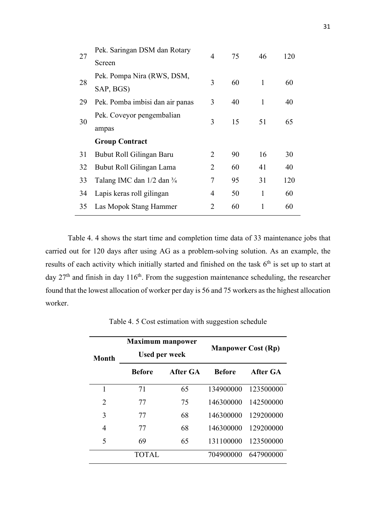| 27 | Pek. Saringan DSM dan Rotary    | 4 | 75 | 46 | 120 |  |
|----|---------------------------------|---|----|----|-----|--|
|    | Screen                          |   |    |    |     |  |
|    | Pek. Pompa Nira (RWS, DSM,      | 3 | 60 | 1  | 60  |  |
| 28 | SAP, BGS)                       |   |    |    |     |  |
| 29 | Pek. Pomba imbisi dan air panas | 3 | 40 | 1  | 40  |  |
| 30 | Pek. Coveyor pengembalian       | 3 | 15 | 51 | 65  |  |
|    | ampas                           |   |    |    |     |  |
|    | <b>Group Contract</b>           |   |    |    |     |  |
| 31 | Bubut Roll Gilingan Baru        | 2 | 90 | 16 | 30  |  |
| 32 | Bubut Roll Gilingan Lama        | 2 | 60 | 41 | 40  |  |
| 33 | Talang IMC dan 1/2 dan 3/4      | 7 | 95 | 31 | 120 |  |
| 34 | Lapis keras roll gilingan       | 4 | 50 | 1  | 60  |  |
| 35 | Las Mopok Stang Hammer          | 2 | 60 | 1  | 60  |  |
|    |                                 |   |    |    |     |  |

Table 4. 4 shows the start time and completion time data of 33 maintenance jobs that carried out for 120 days after using AG as a problem-solving solution. As an example, the results of each activity which initially started and finished on the task 6<sup>th</sup> is set up to start at day 27<sup>th</sup> and finish in day 116<sup>th</sup>. From the suggestion maintenance scheduling, the researcher found that the lowest allocation of worker per day is 56 and 75 workers as the highest allocation worker.

| <b>Month</b> | <b>Maximum manpower</b><br><b>Used per week</b> |          |               | <b>Manpower Cost (Rp)</b> |
|--------------|-------------------------------------------------|----------|---------------|---------------------------|
|              | <b>Before</b>                                   | After GA | <b>Before</b> | After GA                  |
| 1            | 71                                              | 65       | 134900000     | 123500000                 |
| 2            | 77                                              | 75       | 146300000     | 142500000                 |
| 3            | 77                                              | 68       | 146300000     | 129200000                 |
| 4            | 77                                              | 68       | 146300000     | 129200000                 |
| 5            | 69                                              | 65       | 131100000     | 123500000                 |
|              | TOTAL.                                          |          | 704900000     | 647900000                 |

Table 4. 5 Cost estimation with suggestion schedule